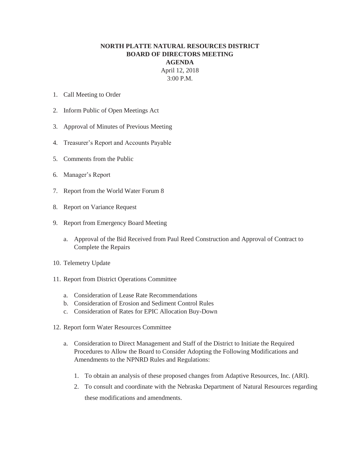## **NORTH PLATTE NATURAL RESOURCES DISTRICT BOARD OF DIRECTORS MEETING AGENDA**  April 12, 2018

3:00 P.M.

- 1. Call Meeting to Order
- 2. Inform Public of Open Meetings Act
- 3. Approval of Minutes of Previous Meeting
- 4. Treasurer's Report and Accounts Payable
- 5. Comments from the Public
- 6. Manager's Report
- 7. Report from the World Water Forum 8
- 8. Report on Variance Request
- 9. Report from Emergency Board Meeting
	- a. Approval of the Bid Received from Paul Reed Construction and Approval of Contract to Complete the Repairs
- 10. Telemetry Update
- 11. Report from District Operations Committee
	- a. Consideration of Lease Rate Recommendations
	- b. Consideration of Erosion and Sediment Control Rules
	- c. Consideration of Rates for EPIC Allocation Buy-Down
- 12. Report form Water Resources Committee
	- a. Consideration to Direct Management and Staff of the District to Initiate the Required Procedures to Allow the Board to Consider Adopting the Following Modifications and Amendments to the NPNRD Rules and Regulations:
		- 1. To obtain an analysis of these proposed changes from Adaptive Resources, Inc. (ARI).
		- 2. To consult and coordinate with the Nebraska Department of Natural Resources regarding these modifications and amendments.